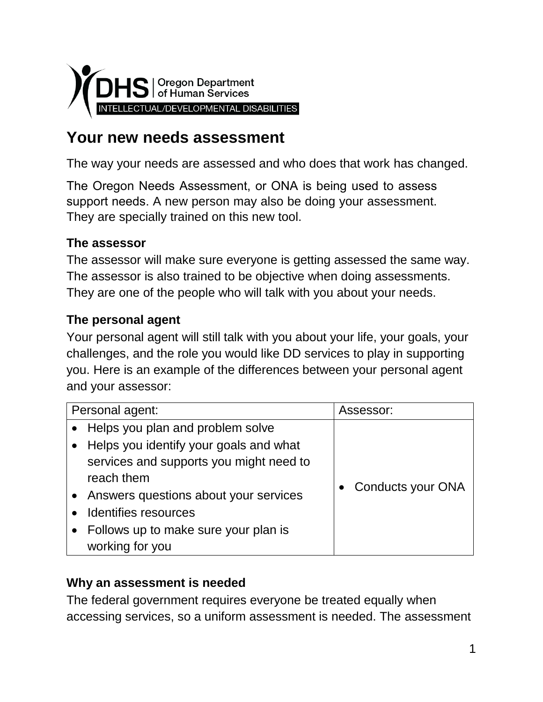

# **Your new needs assessment**

The way your needs are assessed and who does that work has changed.

The Oregon Needs Assessment, or ONA is being used to assess support needs. A new person may also be doing your assessment. They are specially trained on this new tool.

### **The assessor**

The assessor will make sure everyone is getting assessed the same way. The assessor is also trained to be objective when doing assessments. They are one of the people who will talk with you about your needs.

### **The personal agent**

Your personal agent will still talk with you about your life, your goals, your challenges, and the role you would like DD services to play in supporting you. Here is an example of the differences between your personal agent and your assessor:

| Personal agent: |                                         | Assessor:                |
|-----------------|-----------------------------------------|--------------------------|
| $\bullet$       | Helps you plan and problem solve        |                          |
|                 | Helps you identify your goals and what  |                          |
|                 | services and supports you might need to |                          |
|                 | reach them                              |                          |
|                 | Answers questions about your services   | <b>Conducts your ONA</b> |
|                 | Identifies resources                    |                          |
|                 | Follows up to make sure your plan is    |                          |
|                 | working for you                         |                          |

#### **Why an assessment is needed**

The federal government requires everyone be treated equally when accessing services, so a uniform assessment is needed. The assessment